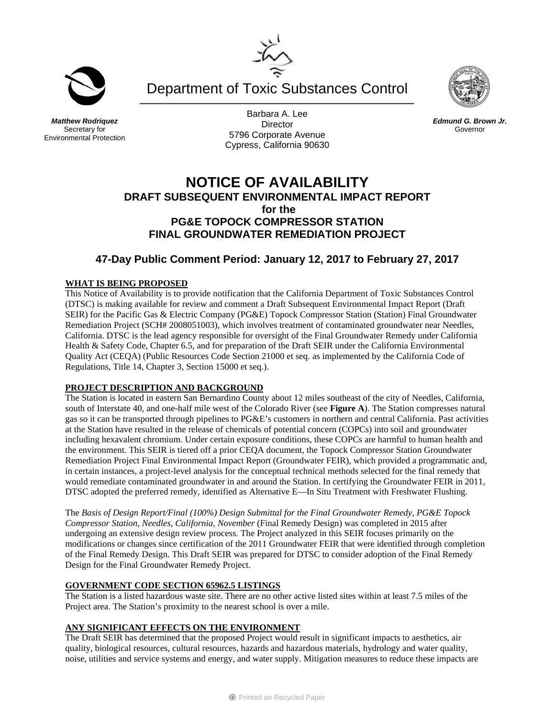Department of Toxic Substances Control

*Matthew Rodriquez*  Secretary for Environmental Protection

Barbara A. Lee **Director** 5796 Corporate Avenue Cypress, California 90630



# **47-Day Public Comment Period: January 12, 2017 to February 27, 2017**

## **WHAT IS BEING PROPOSED**

This Notice of Availability is to provide notification that the California Department of Toxic Substances Control (DTSC) is making available for review and comment a Draft Subsequent Environmental Impact Report (Draft SEIR) for the Pacific Gas & Electric Company (PG&E) Topock Compressor Station (Station) Final Groundwater Remediation Project (SCH# 2008051003), which involves treatment of contaminated groundwater near Needles, California. DTSC is the lead agency responsible for oversight of the Final Groundwater Remedy under California Health & Safety Code, Chapter 6.5, and for preparation of the Draft SEIR under the California Environmental Quality Act (CEQA) (Public Resources Code Section 21000 et seq. as implemented by the California Code of Regulations, Title 14, Chapter 3, Section 15000 et seq.).

### **PROJECT DESCRIPTION AND BACKGROUND**

The Station is located in eastern San Bernardino County about 12 miles southeast of the city of Needles, California, south of Interstate 40, and one-half mile west of the Colorado River (see **Figure A**). The Station compresses natural gas so it can be transported through pipelines to PG&E's customers in northern and central California. Past activities at the Station have resulted in the release of chemicals of potential concern (COPCs) into soil and groundwater including hexavalent chromium. Under certain exposure conditions, these COPCs are harmful to human health and the environment. This SEIR is tiered off a prior CEQA document, the Topock Compressor Station Groundwater Remediation Project Final Environmental Impact Report (Groundwater FEIR), which provided a programmatic and, in certain instances, a project-level analysis for the conceptual technical methods selected for the final remedy that would remediate contaminated groundwater in and around the Station. In certifying the Groundwater FEIR in 2011, DTSC adopted the preferred remedy, identified as Alternative E—In Situ Treatment with Freshwater Flushing.

The *Basis of Design Report/Final (100%) Design Submittal for the Final Groundwater Remedy, PG&E Topock Compressor Station, Needles, California, November* (Final Remedy Design) was completed in 2015 after undergoing an extensive design review process. The Project analyzed in this SEIR focuses primarily on the modifications or changes since certification of the 2011 Groundwater FEIR that were identified through completion of the Final Remedy Design. This Draft SEIR was prepared for DTSC to consider adoption of the Final Remedy Design for the Final Groundwater Remedy Project.

### **GOVERNMENT CODE SECTION 65962.5 LISTINGS**

The Station is a listed hazardous waste site. There are no other active listed sites within at least 7.5 miles of the Project area. The Station's proximity to the nearest school is over a mile.

## **ANY SIGNIFICANT EFFECTS ON THE ENVIRONMENT**

The Draft SEIR has determined that the proposed Project would result in significant impacts to aesthetics, air quality, biological resources, cultural resources, hazards and hazardous materials, hydrology and water quality, noise, utilities and service systems and energy, and water supply. Mitigation measures to reduce these impacts are





*Edmund G. Brown Jr.*  Governor

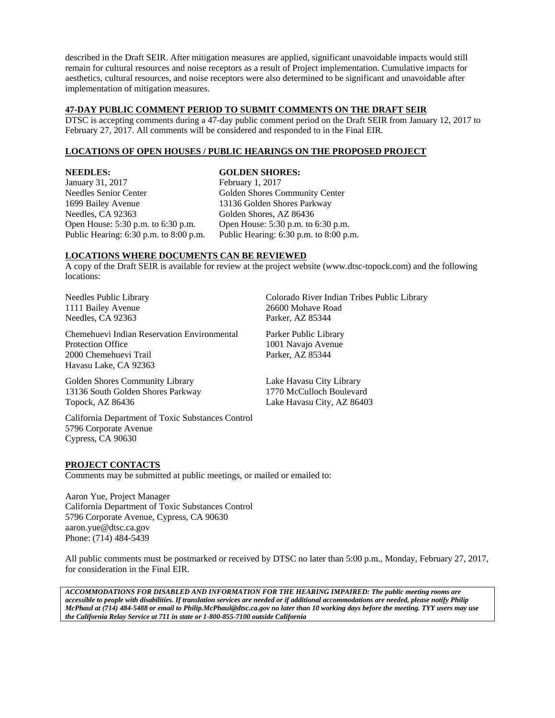described in the Draft SEIR. After mitigation measures are applied, significant unavoidable impacts would still remain for cultural resources and noise receptors as a result of Project implementation. Cumulative impacts for aesthetics, cultural resources, and noise receptors were also determined to be significant and unavoidable after implementation of mitigation measures.

## **47-DAY PUBLIC COMMENT PERIOD TO SUBMIT COMMENTS ON THE DRAFT SEIR**

DTSC is accepting comments during a 47-day public comment period on the Draft SEIR from January 12, 2017 to February 27, 2017. All comments will be considered and responded to in the Final EIR.

### **LOCATIONS OF OPEN HOUSES / PUBLIC HEARINGS ON THE PROPOSED PROJECT**

**NEEDLES:**  January 31, 2017 Needles Senior Center 1699 Bailey Avenue Needles, CA 92363 Open House: 5:30 p.m. to 6:30 p.m. Public Hearing: 6:30 p.m. to 8:00 p.m.

#### **GOLDEN SHORES:**

February 1, 2017 Golden Shores Community Center 13136 Golden Shores Parkway Golden Shores, AZ 86436 Open House: 5:30 p.m. to 6:30 p.m. Public Hearing: 6:30 p.m. to 8:00 p.m.

### **LOCATIONS WHERE DOCUMENTS CAN BE REVIEWED**

A copy of the Draft SEIR is available for review at the project website (www.dtsc-topock.com) and the following locations:

Needles Public Library 1111 Bailey Avenue Needles, CA 92363

Chemehuevi Indian Reservation Environmental Protection Office 2000 Chemehuevi Trail Havasu Lake, CA 92363

Colorado River Indian Tribes Public Library 26600 Mohave Road Parker, AZ 85344

Parker Public Library 1001 Navajo Avenue Parker, AZ 85344

Golden Shores Community Library 13136 South Golden Shores Parkway Topock, AZ 86436

Lake Havasu City Library 1770 McCulloch Boulevard Lake Havasu City, AZ 86403

California Department of Toxic Substances Control 5796 Corporate Avenue Cypress, CA 90630

### **PROJECT CONTACTS**

Comments may be submitted at public meetings, or mailed or emailed to:

Aaron Yue, Project Manager California Department of Toxic Substances Control 5796 Corporate Avenue, Cypress, CA 90630 aaron.yue@dtsc.ca.gov Phone: (714) 484-5439

All public comments must be postmarked or received by DTSC no later than 5:00 p.m., Monday, February 27, 2017, for consideration in the Final EIR.

*ACCOMMODATIONS FOR DISABLED AND INFORMATION FOR THE HEARING IMPAIRED: The public meeting rooms are accessible to people with disabilities. If translation services are needed or if additional accommodations are needed, please notify Philip McPhaul at (714) 484-5488 or email to Philip.McPhaul@dtsc.ca.gov no later than 10 working days before the meeting. TYY users may use the California Relay Service at 711 in state or 1-800-855-7100 outside California*